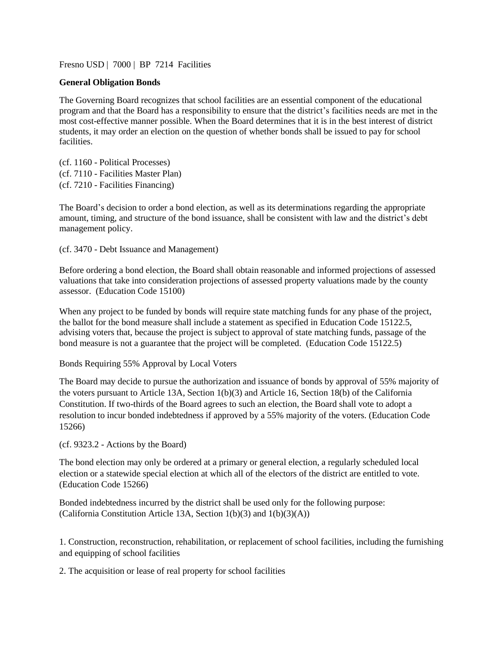Fresno USD | 7000 | BP 7214 Facilities

#### **General Obligation Bonds**

The Governing Board recognizes that school facilities are an essential component of the educational program and that the Board has a responsibility to ensure that the district's facilities needs are met in the most cost-effective manner possible. When the Board determines that it is in the best interest of district students, it may order an election on the question of whether bonds shall be issued to pay for school facilities.

(cf. 1160 - Political Processes) (cf. 7110 - Facilities Master Plan) (cf. 7210 - Facilities Financing)

The Board's decision to order a bond election, as well as its determinations regarding the appropriate amount, timing, and structure of the bond issuance, shall be consistent with law and the district's debt management policy.

(cf. 3470 - Debt Issuance and Management)

Before ordering a bond election, the Board shall obtain reasonable and informed projections of assessed valuations that take into consideration projections of assessed property valuations made by the county assessor. (Education Code 15100)

When any project to be funded by bonds will require state matching funds for any phase of the project, the ballot for the bond measure shall include a statement as specified in Education Code 15122.5, advising voters that, because the project is subject to approval of state matching funds, passage of the bond measure is not a guarantee that the project will be completed. (Education Code 15122.5)

Bonds Requiring 55% Approval by Local Voters

The Board may decide to pursue the authorization and issuance of bonds by approval of 55% majority of the voters pursuant to Article 13A, Section 1(b)(3) and Article 16, Section 18(b) of the California Constitution. If two-thirds of the Board agrees to such an election, the Board shall vote to adopt a resolution to incur bonded indebtedness if approved by a 55% majority of the voters. (Education Code 15266)

(cf. 9323.2 - Actions by the Board)

The bond election may only be ordered at a primary or general election, a regularly scheduled local election or a statewide special election at which all of the electors of the district are entitled to vote. (Education Code 15266)

Bonded indebtedness incurred by the district shall be used only for the following purpose: (California Constitution Article 13A, Section  $1(b)(3)$  and  $1(b)(3)(A)$ )

1. Construction, reconstruction, rehabilitation, or replacement of school facilities, including the furnishing and equipping of school facilities

2. The acquisition or lease of real property for school facilities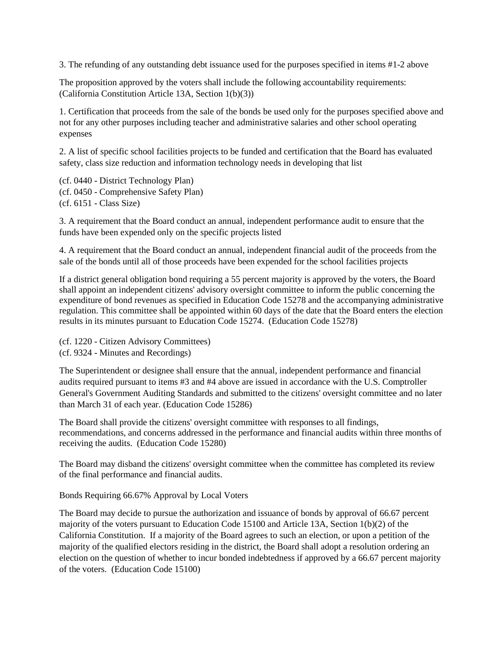3. The refunding of any outstanding debt issuance used for the purposes specified in items #1-2 above

The proposition approved by the voters shall include the following accountability requirements: (California Constitution Article 13A, Section 1(b)(3))

1. Certification that proceeds from the sale of the bonds be used only for the purposes specified above and not for any other purposes including teacher and administrative salaries and other school operating expenses

2. A list of specific school facilities projects to be funded and certification that the Board has evaluated safety, class size reduction and information technology needs in developing that list

(cf. 0440 - District Technology Plan) (cf. 0450 - Comprehensive Safety Plan) (cf. 6151 - Class Size)

3. A requirement that the Board conduct an annual, independent performance audit to ensure that the funds have been expended only on the specific projects listed

4. A requirement that the Board conduct an annual, independent financial audit of the proceeds from the sale of the bonds until all of those proceeds have been expended for the school facilities projects

If a district general obligation bond requiring a 55 percent majority is approved by the voters, the Board shall appoint an independent citizens' advisory oversight committee to inform the public concerning the expenditure of bond revenues as specified in Education Code 15278 and the accompanying administrative regulation. This committee shall be appointed within 60 days of the date that the Board enters the election results in its minutes pursuant to Education Code 15274. (Education Code 15278)

(cf. 1220 - Citizen Advisory Committees)

(cf. 9324 - Minutes and Recordings)

The Superintendent or designee shall ensure that the annual, independent performance and financial audits required pursuant to items #3 and #4 above are issued in accordance with the U.S. Comptroller General's Government Auditing Standards and submitted to the citizens' oversight committee and no later than March 31 of each year. (Education Code 15286)

The Board shall provide the citizens' oversight committee with responses to all findings, recommendations, and concerns addressed in the performance and financial audits within three months of receiving the audits. (Education Code 15280)

The Board may disband the citizens' oversight committee when the committee has completed its review of the final performance and financial audits.

## Bonds Requiring 66.67% Approval by Local Voters

The Board may decide to pursue the authorization and issuance of bonds by approval of 66.67 percent majority of the voters pursuant to Education Code 15100 and Article 13A, Section 1(b)(2) of the California Constitution. If a majority of the Board agrees to such an election, or upon a petition of the majority of the qualified electors residing in the district, the Board shall adopt a resolution ordering an election on the question of whether to incur bonded indebtedness if approved by a 66.67 percent majority of the voters. (Education Code 15100)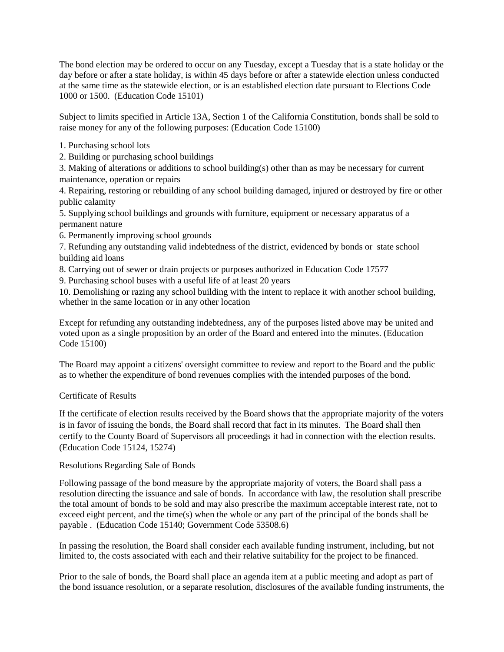The bond election may be ordered to occur on any Tuesday, except a Tuesday that is a state holiday or the day before or after a state holiday, is within 45 days before or after a statewide election unless conducted at the same time as the statewide election, or is an established election date pursuant to Elections Code 1000 or 1500. (Education Code 15101)

Subject to limits specified in Article 13A, Section 1 of the California Constitution, bonds shall be sold to raise money for any of the following purposes: (Education Code 15100)

- 1. Purchasing school lots
- 2. Building or purchasing school buildings

3. Making of alterations or additions to school building(s) other than as may be necessary for current maintenance, operation or repairs

4. Repairing, restoring or rebuilding of any school building damaged, injured or destroyed by fire or other public calamity

5. Supplying school buildings and grounds with furniture, equipment or necessary apparatus of a permanent nature

6. Permanently improving school grounds

7. Refunding any outstanding valid indebtedness of the district, evidenced by bonds or state school building aid loans

8. Carrying out of sewer or drain projects or purposes authorized in Education Code 17577

9. Purchasing school buses with a useful life of at least 20 years

10. Demolishing or razing any school building with the intent to replace it with another school building, whether in the same location or in any other location

Except for refunding any outstanding indebtedness, any of the purposes listed above may be united and voted upon as a single proposition by an order of the Board and entered into the minutes. (Education Code 15100)

The Board may appoint a citizens' oversight committee to review and report to the Board and the public as to whether the expenditure of bond revenues complies with the intended purposes of the bond.

# Certificate of Results

If the certificate of election results received by the Board shows that the appropriate majority of the voters is in favor of issuing the bonds, the Board shall record that fact in its minutes. The Board shall then certify to the County Board of Supervisors all proceedings it had in connection with the election results. (Education Code 15124, 15274)

## Resolutions Regarding Sale of Bonds

Following passage of the bond measure by the appropriate majority of voters, the Board shall pass a resolution directing the issuance and sale of bonds. In accordance with law, the resolution shall prescribe the total amount of bonds to be sold and may also prescribe the maximum acceptable interest rate, not to exceed eight percent, and the time(s) when the whole or any part of the principal of the bonds shall be payable . (Education Code 15140; Government Code 53508.6)

In passing the resolution, the Board shall consider each available funding instrument, including, but not limited to, the costs associated with each and their relative suitability for the project to be financed.

Prior to the sale of bonds, the Board shall place an agenda item at a public meeting and adopt as part of the bond issuance resolution, or a separate resolution, disclosures of the available funding instruments, the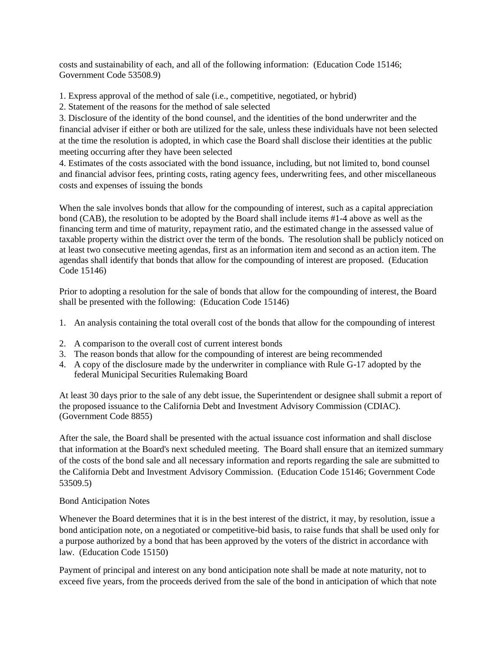costs and sustainability of each, and all of the following information: (Education Code 15146; Government Code 53508.9)

1. Express approval of the method of sale (i.e., competitive, negotiated, or hybrid)

2. Statement of the reasons for the method of sale selected

3. Disclosure of the identity of the bond counsel, and the identities of the bond underwriter and the financial adviser if either or both are utilized for the sale, unless these individuals have not been selected at the time the resolution is adopted, in which case the Board shall disclose their identities at the public meeting occurring after they have been selected

4. Estimates of the costs associated with the bond issuance, including, but not limited to, bond counsel and financial advisor fees, printing costs, rating agency fees, underwriting fees, and other miscellaneous costs and expenses of issuing the bonds

When the sale involves bonds that allow for the compounding of interest, such as a capital appreciation bond (CAB), the resolution to be adopted by the Board shall include items #1-4 above as well as the financing term and time of maturity, repayment ratio, and the estimated change in the assessed value of taxable property within the district over the term of the bonds. The resolution shall be publicly noticed on at least two consecutive meeting agendas, first as an information item and second as an action item. The agendas shall identify that bonds that allow for the compounding of interest are proposed. (Education Code 15146)

Prior to adopting a resolution for the sale of bonds that allow for the compounding of interest, the Board shall be presented with the following: (Education Code 15146)

- 1. An analysis containing the total overall cost of the bonds that allow for the compounding of interest
- 2. A comparison to the overall cost of current interest bonds
- 3. The reason bonds that allow for the compounding of interest are being recommended
- 4. A copy of the disclosure made by the underwriter in compliance with Rule G-17 adopted by the federal Municipal Securities Rulemaking Board

At least 30 days prior to the sale of any debt issue, the Superintendent or designee shall submit a report of the proposed issuance to the California Debt and Investment Advisory Commission (CDIAC). (Government Code 8855)

After the sale, the Board shall be presented with the actual issuance cost information and shall disclose that information at the Board's next scheduled meeting. The Board shall ensure that an itemized summary of the costs of the bond sale and all necessary information and reports regarding the sale are submitted to the California Debt and Investment Advisory Commission. (Education Code 15146; Government Code 53509.5)

## Bond Anticipation Notes

Whenever the Board determines that it is in the best interest of the district, it may, by resolution, issue a bond anticipation note, on a negotiated or competitive-bid basis, to raise funds that shall be used only for a purpose authorized by a bond that has been approved by the voters of the district in accordance with law. (Education Code 15150)

Payment of principal and interest on any bond anticipation note shall be made at note maturity, not to exceed five years, from the proceeds derived from the sale of the bond in anticipation of which that note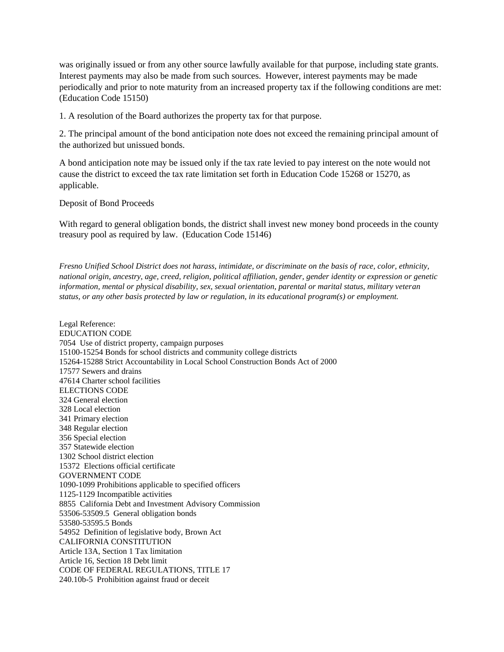was originally issued or from any other source lawfully available for that purpose, including state grants. Interest payments may also be made from such sources. However, interest payments may be made periodically and prior to note maturity from an increased property tax if the following conditions are met: (Education Code 15150)

1. A resolution of the Board authorizes the property tax for that purpose.

2. The principal amount of the bond anticipation note does not exceed the remaining principal amount of the authorized but unissued bonds.

A bond anticipation note may be issued only if the tax rate levied to pay interest on the note would not cause the district to exceed the tax rate limitation set forth in Education Code 15268 or 15270, as applicable.

#### Deposit of Bond Proceeds

With regard to general obligation bonds, the district shall invest new money bond proceeds in the county treasury pool as required by law. (Education Code 15146)

*Fresno Unified School District does not harass, intimidate, or discriminate on the basis of race, color, ethnicity, national origin, ancestry, age, creed, religion, political affiliation, gender, gender identity or expression or genetic information, mental or physical disability, sex, sexual orientation, parental or marital status, military veteran status, or any other basis protected by law or regulation, in its educational program(s) or employment.*

Legal Reference: EDUCATION CODE 7054 Use of district property, campaign purposes 15100-15254 Bonds for school districts and community college districts 15264-15288 Strict Accountability in Local School Construction Bonds Act of 2000 17577 Sewers and drains 47614 Charter school facilities ELECTIONS CODE 324 General election 328 Local election 341 Primary election 348 Regular election 356 Special election 357 Statewide election 1302 School district election 15372 Elections official certificate GOVERNMENT CODE 1090-1099 Prohibitions applicable to specified officers 1125-1129 Incompatible activities 8855 California Debt and Investment Advisory Commission 53506-53509.5 General obligation bonds 53580-53595.5 Bonds 54952 Definition of legislative body, Brown Act CALIFORNIA CONSTITUTION Article 13A, Section 1 Tax limitation Article 16, Section 18 Debt limit CODE OF FEDERAL REGULATIONS, TITLE 17 240.10b-5 Prohibition against fraud or deceit